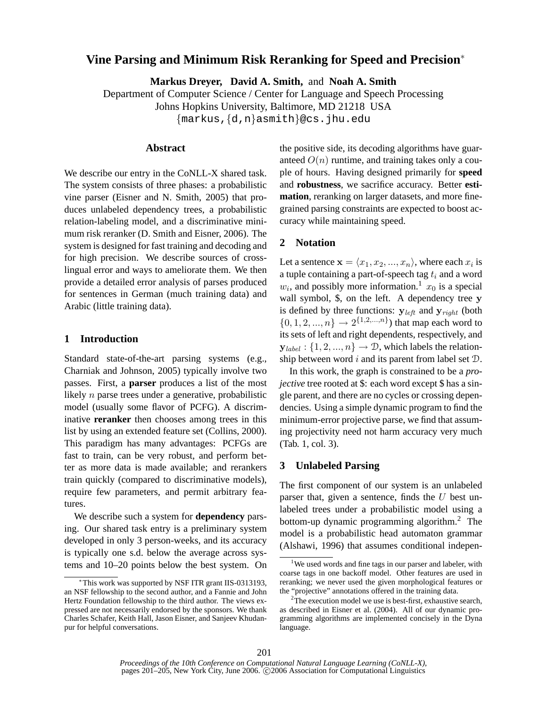# **Vine Parsing and Minimum Risk Reranking for Speed and Precision**<sup>∗</sup>

**Markus Dreyer, David A. Smith,** and **Noah A. Smith**

Department of Computer Science / Center for Language and Speech Processing Johns Hopkins University, Baltimore, MD 21218 USA {markus,{d,n}asmith}@cs.jhu.edu

### **Abstract**

We describe our entry in the CoNLL-X shared task. The system consists of three phases: a probabilistic vine parser (Eisner and N. Smith, 2005) that produces unlabeled dependency trees, a probabilistic relation-labeling model, and a discriminative minimum risk reranker (D. Smith and Eisner, 2006). The system is designed for fast training and decoding and for high precision. We describe sources of crosslingual error and ways to ameliorate them. We then provide a detailed error analysis of parses produced for sentences in German (much training data) and Arabic (little training data).

## **1 Introduction**

Standard state-of-the-art parsing systems (e.g., Charniak and Johnson, 2005) typically involve two passes. First, a **parser** produces a list of the most likely n parse trees under a generative, probabilistic model (usually some flavor of PCFG). A discriminative **reranker** then chooses among trees in this list by using an extended feature set (Collins, 2000). This paradigm has many advantages: PCFGs are fast to train, can be very robust, and perform better as more data is made available; and rerankers train quickly (compared to discriminative models), require few parameters, and permit arbitrary features.

We describe such a system for **dependency** parsing. Our shared task entry is a preliminary system developed in only 3 person-weeks, and its accuracy is typically one s.d. below the average across systems and 10–20 points below the best system. On the positive side, its decoding algorithms have guaranteed  $O(n)$  runtime, and training takes only a couple of hours. Having designed primarily for **speed** and **robustness**, we sacrifice accuracy. Better **estimation**, reranking on larger datasets, and more finegrained parsing constraints are expected to boost accuracy while maintaining speed.

# **2 Notation**

Let a sentence  $\mathbf{x} = \langle x_1, x_2, ..., x_n \rangle$ , where each  $x_i$  is a tuple containing a part-of-speech tag  $t_i$  and a word  $w_i$ , and possibly more information.<sup>1</sup>  $x_0$  is a special wall symbol, \$, on the left. A dependency tree y is defined by three functions:  $y_{left}$  and  $y_{right}$  (both  $\{0, 1, 2, ..., n\} \rightarrow 2^{\{1, 2, ..., n\}}$  that map each word to its sets of left and right dependents, respectively, and  $y_{label}: \{1, 2, ..., n\} \rightarrow \mathcal{D}$ , which labels the relationship between word i and its parent from label set  $D$ .

In this work, the graph is constrained to be a *projective* tree rooted at \$: each word except \$ has a single parent, and there are no cycles or crossing dependencies. Using a simple dynamic program to find the minimum-error projective parse, we find that assuming projectivity need not harm accuracy very much (Tab. 1, col. 3).

### **3 Unlabeled Parsing**

The first component of our system is an unlabeled parser that, given a sentence, finds the  $U$  best unlabeled trees under a probabilistic model using a bottom-up dynamic programming algorithm.<sup>2</sup> The model is a probabilistic head automaton grammar (Alshawi, 1996) that assumes conditional indepen-

<sup>∗</sup>This work was supported by NSF ITR grant IIS-0313193, an NSF fellowship to the second author, and a Fannie and John Hertz Foundation fellowship to the third author. The views expressed are not necessarily endorsed by the sponsors. We thank Charles Schafer, Keith Hall, Jason Eisner, and Sanjeev Khudanpur for helpful conversations.

<sup>&</sup>lt;sup>1</sup>We used words and fine tags in our parser and labeler, with coarse tags in one backoff model. Other features are used in reranking; we never used the given morphological features or the "projective" annotations offered in the training data.

 $2^2$ The execution model we use is best-first, exhaustive search, as described in Eisner et al. (2004). All of our dynamic programming algorithms are implemented concisely in the Dyna language.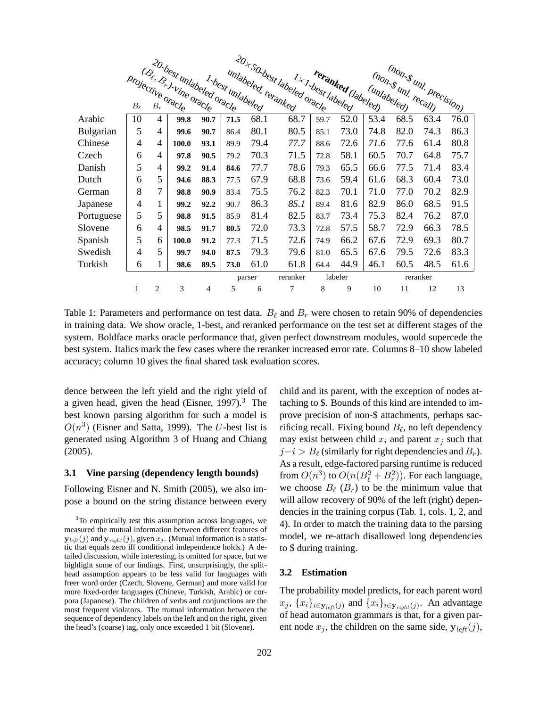|            | 20.best unlabeled oracle<br>(Be, Br) Vine oracle<br>projective oracle |   |       |      |        |                  | unlabeled, reranked | 20 + SO.best labeled oracle<br>reranked (labeled)<br>$\displaystyle \frac{1}{\sqrt{1-\frac{1}{2}}}\int_{\partial c_{S_{\ell}}}$ |      |             | (non-s uni, precision)<br>(non-s uni recall) |      |      |
|------------|-----------------------------------------------------------------------|---|-------|------|--------|------------------|---------------------|---------------------------------------------------------------------------------------------------------------------------------|------|-------------|----------------------------------------------|------|------|
|            |                                                                       |   |       |      |        | 1-best unlabeled |                     |                                                                                                                                 |      |             |                                              |      |      |
|            |                                                                       |   |       |      |        |                  |                     |                                                                                                                                 |      | (unlabeled) |                                              |      |      |
|            |                                                                       |   |       |      |        |                  |                     |                                                                                                                                 |      |             |                                              |      |      |
| Arabic     | 10                                                                    | 4 | 99.8  | 90.7 | 71.5   | 68.1             | 68.7                | 59.7                                                                                                                            | 52.0 | 53.4        | 68.5                                         | 63.4 | 76.0 |
| Bulgarian  | 5                                                                     | 4 | 99.6  | 90.7 | 86.4   | 80.1             | 80.5                | 85.1                                                                                                                            | 73.0 | 74.8        | 82.0                                         | 74.3 | 86.3 |
| Chinese    | 4                                                                     | 4 | 100.0 | 93.1 | 89.9   | 79.4             | 77.7                | 88.6                                                                                                                            | 72.6 | 71.6        | 77.6                                         | 61.4 | 80.8 |
| Czech      | 6                                                                     | 4 | 97.8  | 90.5 | 79.2   | 70.3             | 71.5                | 72.8                                                                                                                            | 58.1 | 60.5        | 70.7                                         | 64.8 | 75.7 |
| Danish     | 5                                                                     | 4 | 99.2  | 91.4 | 84.6   | 77.7             | 78.6                | 79.3                                                                                                                            | 65.5 | 66.6        | 77.5                                         | 71.4 | 83.4 |
| Dutch      | 6                                                                     | 5 | 94.6  | 88.3 | 77.5   | 67.9             | 68.8                | 73.6                                                                                                                            | 59.4 | 61.6        | 68.3                                         | 60.4 | 73.0 |
| German     | 8                                                                     | 7 | 98.8  | 90.9 | 83.4   | 75.5             | 76.2                | 82.3                                                                                                                            | 70.1 | 71.0        | 77.0                                         | 70.2 | 82.9 |
| Japanese   | $\overline{4}$                                                        | 1 | 99.2  | 92.2 | 90.7   | 86.3             | 85.1                | 89.4                                                                                                                            | 81.6 | 82.9        | 86.0                                         | 68.5 | 91.5 |
| Portuguese | 5                                                                     | 5 | 98.8  | 91.5 | 85.9   | 81.4             | 82.5                | 83.7                                                                                                                            | 73.4 | 75.3        | 82.4                                         | 76.2 | 87.0 |
| Slovene    | 6                                                                     | 4 | 98.5  | 91.7 | 80.5   | 72.0             | 73.3                | 72.8                                                                                                                            | 57.5 | 58.7        | 72.9                                         | 66.3 | 78.5 |
| Spanish    | 5                                                                     | 6 | 100.0 | 91.2 | 77.3   | 71.5             | 72.6                | 74.9                                                                                                                            | 66.2 | 67.6        | 72.9                                         | 69.3 | 80.7 |
| Swedish    | 4                                                                     | 5 | 99.7  | 94.0 | 87.5   | 79.3             | 79.6                | 81.0                                                                                                                            | 65.5 | 67.6        | 79.5                                         | 72.6 | 83.3 |
| Turkish    | 6                                                                     | 1 | 98.6  | 89.5 | 73.0   | 61.0             | 61.8                | 64.4                                                                                                                            | 44.9 | 46.1        | 60.5                                         | 48.5 | 61.6 |
|            |                                                                       |   |       |      | parser |                  | reranker            | labeler                                                                                                                         |      | reranker    |                                              |      |      |
|            | 1                                                                     | 2 | 3     | 4    | 5      | 6                | 7                   | 8                                                                                                                               | 9    | 10          | 11                                           | 12   | 13   |

Table 1: Parameters and performance on test data.  $B_\ell$  and  $B_r$  were chosen to retain 90% of dependencies in training data. We show oracle, 1-best, and reranked performance on the test set at different stages of the system. Boldface marks oracle performance that, given perfect downstream modules, would supercede the best system. Italics mark the few cases where the reranker increased error rate. Columns 8–10 show labeled accuracy; column 10 gives the final shared task evaluation scores.

dence between the left yield and the right yield of a given head, given the head (Eisner,  $1997$ ).<sup>3</sup> The best known parsing algorithm for such a model is  $O(n^3)$  (Eisner and Satta, 1999). The U-best list is generated using Algorithm 3 of Huang and Chiang (2005).

#### **3.1 Vine parsing (dependency length bounds)**

Following Eisner and N. Smith (2005), we also impose a bound on the string distance between every child and its parent, with the exception of nodes attaching to \$. Bounds of this kind are intended to improve precision of non-\$ attachments, perhaps sacrificing recall. Fixing bound  $B_\ell$ , no left dependency may exist between child  $x_i$  and parent  $x_j$  such that  $j-i > B_\ell$  (similarly for right dependencies and  $B_r$ ). As a result, edge-factored parsing runtime is reduced from  $O(n^3)$  to  $O(n(B_\ell^2 + B_r^2))$ . For each language, we choose  $B_{\ell}$  ( $B_r$ ) to be the minimum value that will allow recovery of 90% of the left (right) dependencies in the training corpus (Tab. 1, cols. 1, 2, and 4). In order to match the training data to the parsing model, we re-attach disallowed long dependencies to \$ during training.

#### **3.2 Estimation**

The probability model predicts, for each parent word  $x_j$ ,  $\{x_i\}_{i \in \mathbf{y}_{left}(j)}$  and  $\{x_i\}_{i \in \mathbf{y}_{right}(j)}$ . An advantage of head automaton grammars is that, for a given parent node  $x_j$ , the children on the same side,  $y_{left}(j)$ ,

<sup>&</sup>lt;sup>3</sup>To empirically test this assumption across languages, we measured the mutual information between different features of  $\mathbf{y}_{\text{left}}(j)$  and  $\mathbf{y}_{\text{right}}(j)$ , given  $x_j$ . (Mutual information is a statistic that equals zero iff conditional independence holds.) A detailed discussion, while interesting, is omitted for space, but we highlight some of our findings. First, unsurprisingly, the splithead assumption appears to be less valid for languages with freer word order (Czech, Slovene, German) and more valid for more fixed-order languages (Chinese, Turkish, Arabic) or corpora (Japanese). The children of verbs and conjunctions are the most frequent violators. The mutual information between the sequence of dependency labels on the left and on the right, given the head's (coarse) tag, only once exceeded 1 bit (Slovene).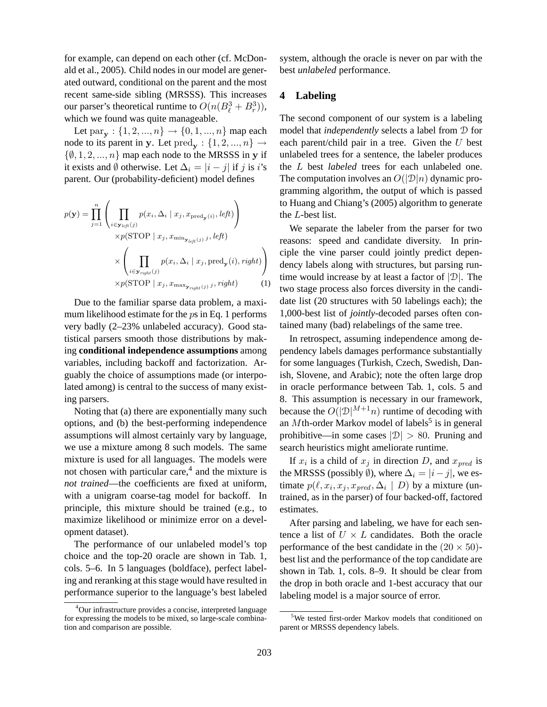for example, can depend on each other (cf. McDonald et al., 2005). Child nodes in our model are generated outward, conditional on the parent and the most recent same-side sibling (MRSSS). This increases our parser's theoretical runtime to  $O(n(B_\ell^3 + B_r^3)),$ which we found was quite manageable.

Let  $\text{par}_{\mathbf{y}}: \{1, 2, ..., n\} \to \{0, 1, ..., n\}$  map each node to its parent in y. Let  $\text{pred}_{\mathbf{y}}: \{1, 2, ..., n\} \rightarrow$  $\{\emptyset, 1, 2, ..., n\}$  map each node to the MRSSS in y if it exists and  $\emptyset$  otherwise. Let  $\Delta_i = |i - j|$  if j is i's parent. Our (probability-deficient) model defines

$$
p(\mathbf{y}) = \prod_{j=1}^{n} \left( \prod_{i \in \mathbf{y}_{left}(j)} p(x_i, \Delta_i | x_j, x_{\text{pred}_{\mathbf{y}}(i)}, left) \right) \times p(\text{STOP} | x_j, x_{\min_{\mathbf{y}_{left}(j)} j}, left) \times \left( \prod_{i \in \mathbf{y}_{right}(j)} p(x_i, \Delta_i | x_j, \text{pred}_{\mathbf{y}}(i), right) \right) \times p(\text{STOP} | x_j, x_{\max_{\mathbf{y}_{right}(j)} j}, right) \qquad (1)
$$

Due to the familiar sparse data problem, a maximum likelihood estimate for the ps in Eq. 1 performs very badly (2–23% unlabeled accuracy). Good statistical parsers smooth those distributions by making **conditional independence assumptions** among variables, including backoff and factorization. Arguably the choice of assumptions made (or interpolated among) is central to the success of many existing parsers.

Noting that (a) there are exponentially many such options, and (b) the best-performing independence assumptions will almost certainly vary by language, we use a mixture among 8 such models. The same mixture is used for all languages. The models were not chosen with particular care, $4$  and the mixture is *not trained*—the coefficients are fixed at uniform, with a unigram coarse-tag model for backoff. In principle, this mixture should be trained (e.g., to maximize likelihood or minimize error on a development dataset).

The performance of our unlabeled model's top choice and the top-20 oracle are shown in Tab. 1, cols. 5–6. In 5 languages (boldface), perfect labeling and reranking at this stage would have resulted in performance superior to the language's best labeled system, although the oracle is never on par with the best *unlabeled* performance.

#### **4 Labeling**

The second component of our system is a labeling model that *independently* selects a label from D for each parent/child pair in a tree. Given the  $U$  best unlabeled trees for a sentence, the labeler produces the L best *labeled* trees for each unlabeled one. The computation involves an  $O(|\mathcal{D}|n)$  dynamic programming algorithm, the output of which is passed to Huang and Chiang's (2005) algorithm to generate the L-best list.

We separate the labeler from the parser for two reasons: speed and candidate diversity. In principle the vine parser could jointly predict dependency labels along with structures, but parsing runtime would increase by at least a factor of  $|\mathcal{D}|$ . The two stage process also forces diversity in the candidate list (20 structures with 50 labelings each); the 1,000-best list of *jointly*-decoded parses often contained many (bad) relabelings of the same tree.

In retrospect, assuming independence among dependency labels damages performance substantially for some languages (Turkish, Czech, Swedish, Danish, Slovene, and Arabic); note the often large drop in oracle performance between Tab. 1, cols. 5 and 8. This assumption is necessary in our framework, because the  $O(|\mathcal{D}|^{M+1}n)$  runtime of decoding with an  $M$ th-order Markov model of labels<sup>5</sup> is in general prohibitive—in some cases  $|\mathcal{D}| > 80$ . Pruning and search heuristics might ameliorate runtime.

If  $x_i$  is a child of  $x_j$  in direction D, and  $x_{pred}$  is the MRSSS (possibly  $\emptyset$ ), where  $\Delta_i = |i - j|$ , we estimate  $p(\ell, x_i, x_j, x_{pred}, \Delta_i | D)$  by a mixture (untrained, as in the parser) of four backed-off, factored estimates.

After parsing and labeling, we have for each sentence a list of  $U \times L$  candidates. Both the oracle performance of the best candidate in the  $(20 \times 50)$ best list and the performance of the top candidate are shown in Tab. 1, cols. 8–9. It should be clear from the drop in both oracle and 1-best accuracy that our labeling model is a major source of error.

<sup>&</sup>lt;sup>4</sup>Our infrastructure provides a concise, interpreted language for expressing the models to be mixed, so large-scale combination and comparison are possible.

<sup>&</sup>lt;sup>5</sup>We tested first-order Markov models that conditioned on parent or MRSSS dependency labels.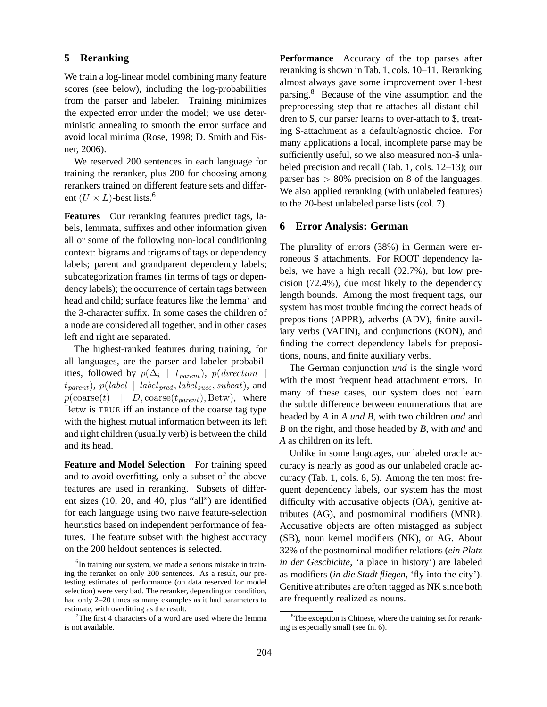### **5 Reranking**

We train a log-linear model combining many feature scores (see below), including the log-probabilities from the parser and labeler. Training minimizes the expected error under the model; we use deterministic annealing to smooth the error surface and avoid local minima (Rose, 1998; D. Smith and Eisner, 2006).

We reserved 200 sentences in each language for training the reranker, plus 200 for choosing among rerankers trained on different feature sets and different  $(U \times L)$ -best lists.<sup>6</sup>

**Features** Our reranking features predict tags, labels, lemmata, suffixes and other information given all or some of the following non-local conditioning context: bigrams and trigrams of tags or dependency labels; parent and grandparent dependency labels; subcategorization frames (in terms of tags or dependency labels); the occurrence of certain tags between head and child; surface features like the lemma<sup>7</sup> and the 3-character suffix. In some cases the children of a node are considered all together, and in other cases left and right are separated.

The highest-ranked features during training, for all languages, are the parser and labeler probabilities, followed by  $p(\Delta_i \mid t_{parent})$ ,  $p(\text{direction} \mid t_{parent})$  $t_{parent}$ ),  $p(label_{pred}, label_{succ}, subcat)$ , and  $p(\text{coarse}(t) | D, \text{coarse}(t_{parent}), \text{Between})$ , where Betw is TRUE iff an instance of the coarse tag type with the highest mutual information between its left and right children (usually verb) is between the child and its head.

**Feature and Model Selection** For training speed and to avoid overfitting, only a subset of the above features are used in reranking. Subsets of different sizes (10, 20, and 40, plus "all") are identified for each language using two naïve feature-selection heuristics based on independent performance of features. The feature subset with the highest accuracy on the 200 heldout sentences is selected.

**Performance** Accuracy of the top parses after reranking is shown in Tab. 1, cols. 10–11. Reranking almost always gave some improvement over 1-best parsing.<sup>8</sup> Because of the vine assumption and the preprocessing step that re-attaches all distant children to \$, our parser learns to over-attach to \$, treating \$-attachment as a default/agnostic choice. For many applications a local, incomplete parse may be sufficiently useful, so we also measured non-\$ unlabeled precision and recall (Tab. 1, cols. 12–13); our parser has  $> 80\%$  precision on 8 of the languages. We also applied reranking (with unlabeled features) to the 20-best unlabeled parse lists (col. 7).

### **6 Error Analysis: German**

The plurality of errors (38%) in German were erroneous \$ attachments. For ROOT dependency labels, we have a high recall (92.7%), but low precision (72.4%), due most likely to the dependency length bounds. Among the most frequent tags, our system has most trouble finding the correct heads of prepositions (APPR), adverbs (ADV), finite auxiliary verbs (VAFIN), and conjunctions (KON), and finding the correct dependency labels for prepositions, nouns, and finite auxiliary verbs.

The German conjunction *und* is the single word with the most frequent head attachment errors. In many of these cases, our system does not learn the subtle difference between enumerations that are headed by *A* in *A und B*, with two children *und* and *B* on the right, and those headed by *B*, with *und* and *A* as children on its left.

Unlike in some languages, our labeled oracle accuracy is nearly as good as our unlabeled oracle accuracy (Tab. 1, cols. 8, 5). Among the ten most frequent dependency labels, our system has the most difficulty with accusative objects (OA), genitive attributes (AG), and postnominal modifiers (MNR). Accusative objects are often mistagged as subject (SB), noun kernel modifiers (NK), or AG. About 32% of the postnominal modifier relations (*ein Platz in der Geschichte*, 'a place in history') are labeled as modifiers (*in die Stadt fliegen*, 'fly into the city'). Genitive attributes are often tagged as NK since both are frequently realized as nouns.

<sup>&</sup>lt;sup>6</sup>In training our system, we made a serious mistake in training the reranker on only 200 sentences. As a result, our pretesting estimates of performance (on data reserved for model selection) were very bad. The reranker, depending on condition, had only 2–20 times as many examples as it had parameters to estimate, with overfitting as the result.

The first 4 characters of a word are used where the lemma is not available.

 ${}^{8}$ The exception is Chinese, where the training set for reranking is especially small (see fn. 6).